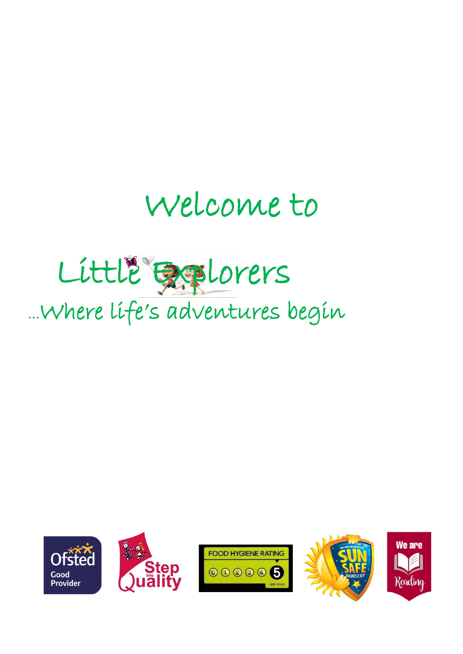# Welcome to

# Little Explorers ...Where life's adventures begin









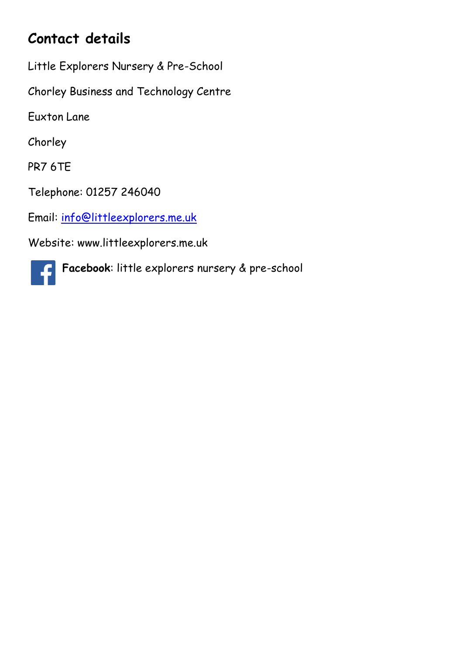# **Contact details**

Little Explorers Nursery & Pre-School

Chorley Business and Technology Centre

Euxton Lane

Chorley

PR7 6TE

Telephone: 01257 246040

Email: [info@littleexplorers.me.uk](mailto:info@littleexplorers.me.uk)

Website: www.littleexplorers.me.uk

**Facebook**: little explorers nursery & pre-schoolC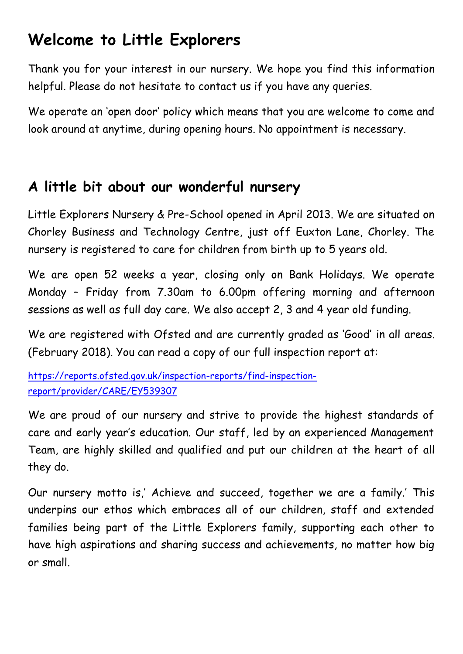# **Welcome to Little Explorers**

Thank you for your interest in our nursery. We hope you find this information helpful. Please do not hesitate to contact us if you have any queries.

We operate an 'open door' policy which means that you are welcome to come and look around at anytime, during opening hours. No appointment is necessary.

## **A little bit about our wonderful nursery**

Little Explorers Nursery & Pre-School opened in April 2013. We are situated on Chorley Business and Technology Centre, just off Euxton Lane, Chorley. The nursery is registered to care for children from birth up to 5 years old.

We are open 52 weeks a year, closing only on Bank Holidays. We operate Monday – Friday from 7.30am to 6.00pm offering morning and afternoon sessions as well as full day care. We also accept 2, 3 and 4 year old funding.

We are registered with Ofsted and are currently graded as 'Good' in all areas. (February 2018). You can read a copy of our full inspection report at:

[https://reports.ofsted.gov.uk/inspection-reports/find-inspection](https://reports.ofsted.gov.uk/inspection-reports/find-inspection-report/provider/CARE/EY539307)[report/provider/CARE/EY539307](https://reports.ofsted.gov.uk/inspection-reports/find-inspection-report/provider/CARE/EY539307)

We are proud of our nursery and strive to provide the highest standards of care and early year's education. Our staff, led by an experienced Management Team, are highly skilled and qualified and put our children at the heart of all they do.

Our nursery motto is,' Achieve and succeed, together we are a family.' This underpins our ethos which embraces all of our children, staff and extended families being part of the Little Explorers family, supporting each other to have high aspirations and sharing success and achievements, no matter how big or small.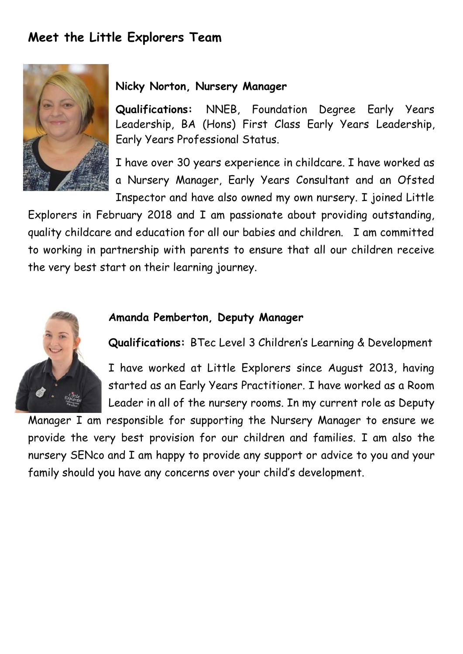## **Meet the Little Explorers Team**



#### **Nicky Norton, Nursery Manager**

**Qualifications:** NNEB, Foundation Degree Early Years Leadership, BA (Hons) First Class Early Years Leadership, Early Years Professional Status.

I have over 30 years experience in childcare. I have worked as a Nursery Manager, Early Years Consultant and an Ofsted Inspector and have also owned my own nursery. I joined Little

Explorers in February 2018 and I am passionate about providing outstanding, quality childcare and education for all our babies and children. I am committed to working in partnership with parents to ensure that all our children receive the very best start on their learning journey.



#### **Amanda Pemberton, Deputy Manager**

**Qualifications:** BTec Level 3 Children's Learning & Development

I have worked at Little Explorers since August 2013, having started as an Early Years Practitioner. I have worked as a Room Leader in all of the nursery rooms. In my current role as Deputy

Manager I am responsible for supporting the Nursery Manager to ensure we provide the very best provision for our children and families. I am also the nursery SENco and I am happy to provide any support or advice to you and your family should you have any concerns over your child's development.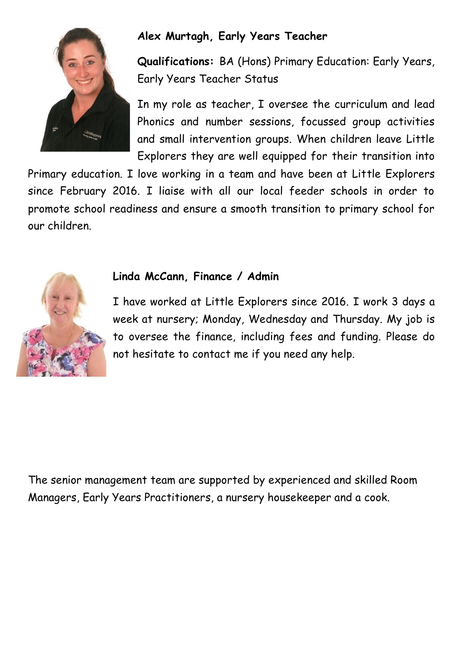

## **Alex Murtagh, Early Years Teacher**

**Qualifications:** BA (Hons) Primary Education: Early Years, Early Years Teacher Status

In my role as teacher, I oversee the curriculum and lead Phonics and number sessions, focussed group activities and small intervention groups. When children leave Little Explorers they are well equipped for their transition into

Primary education. I love working in a team and have been at Little Explorers since February 2016. I liaise with all our local feeder schools in order to promote school readiness and ensure a smooth transition to primary school for our children.



#### **Linda McCann, Finance / Admin**

I have worked at Little Explorers since 2016. I work 3 days a week at nursery; Monday, Wednesday and Thursday. My job is to oversee the finance, including fees and funding. Please do not hesitate to contact me if you need any help.

The senior management team are supported by experienced and skilled Room Managers, Early Years Practitioners, a nursery housekeeper and a cook.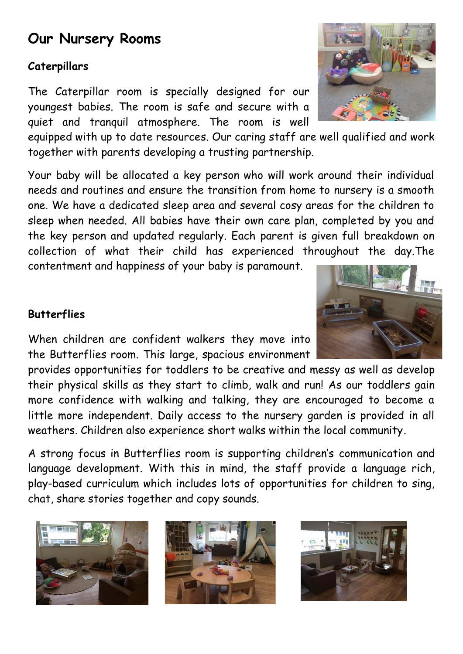## **Our Nursery Rooms**

### **Caterpillars**

The Caterpillar room is specially designed for our youngest babies. The room is safe and secure with a quiet and tranquil atmosphere. The room is well

equipped with up to date resources. Our caring staff are well qualified and work together with parents developing a trusting partnership.

Your baby will be allocated a key person who will work around their individual needs and routines and ensure the transition from home to nursery is a smooth one. We have a dedicated sleep area and several cosy areas for the children to sleep when needed. All babies have their own care plan, completed by you and the key person and updated regularly. Each parent is given full breakdown on collection of what their child has experienced throughout the day.The contentment and happiness of your baby is paramount.

### **Butterflies**

When children are confident walkers they move into the Butterflies room. This large, spacious environment

provides opportunities for toddlers to be creative and messy as well as develop their physical skills as they start to climb, walk and run! As our toddlers gain more confidence with walking and talking, they are encouraged to become a little more independent. Daily access to the nursery garden is provided in all weathers. Children also experience short walks within the local community.

A strong focus in Butterflies room is supporting children's communication and language development. With this in mind, the staff provide a language rich, play-based curriculum which includes lots of opportunities for children to sing, chat, share stories together and copy sounds.









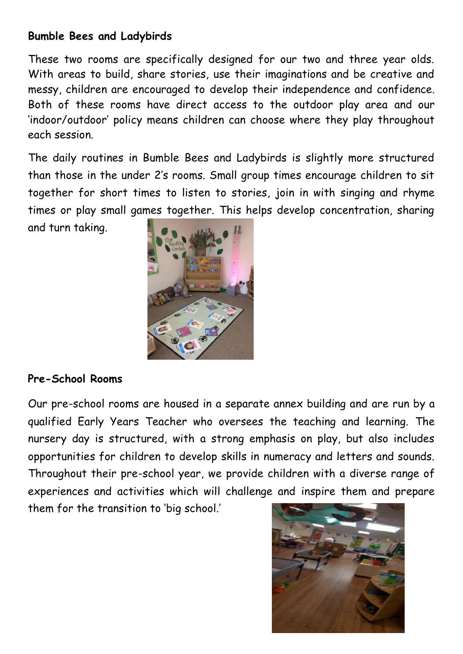#### **Bumble Bees and Ladybirds**

These two rooms are specifically designed for our two and three year olds. With areas to build, share stories, use their imaginations and be creative and messy, children are encouraged to develop their independence and confidence. Both of these rooms have direct access to the outdoor play area and our 'indoor/outdoor' policy means children can choose where they play throughout each session.

The daily routines in Bumble Bees and Ladybirds is slightly more structured than those in the under 2's rooms. Small group times encourage children to sit together for short times to listen to stories, join in with singing and rhyme times or play small games together. This helps develop concentration, sharing

and turn taking.



### **Pre-School Rooms**

Our pre-school rooms are housed in a separate annex building and are run by a qualified Early Years Teacher who oversees the teaching and learning. The nursery day is structured, with a strong emphasis on play, but also includes opportunities for children to develop skills in numeracy and letters and sounds. Throughout their pre-school year, we provide children with a diverse range of experiences and activities which will challenge and inspire them and prepare

them for the transition to 'big school.'

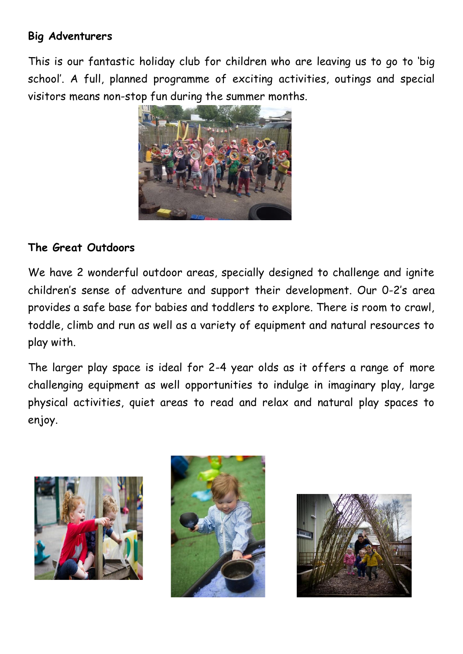#### **Big Adventurers**

This is our fantastic holiday club for children who are leaving us to go to 'big school'. A full, planned programme of exciting activities, outings and special visitors means non-stop fun during the summer months.



#### **The Great Outdoors**

We have 2 wonderful outdoor areas, specially designed to challenge and ignite children's sense of adventure and support their development. Our 0-2's area provides a safe base for babies and toddlers to explore. There is room to crawl, toddle, climb and run as well as a variety of equipment and natural resources to play with.

The larger play space is ideal for 2-4 year olds as it offers a range of more challenging equipment as well opportunities to indulge in imaginary play, large physical activities, quiet areas to read and relax and natural play spaces to enjoy.





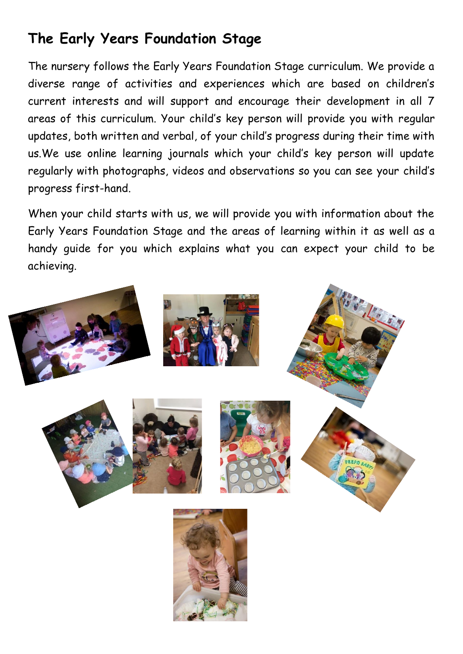## **The Early Years Foundation Stage**

The nursery follows the Early Years Foundation Stage curriculum. We provide a diverse range of activities and experiences which are based on children's current interests and will support and encourage their development in all 7 areas of this curriculum. Your child's key person will provide you with regular updates, both written and verbal, of your child's progress during their time with us.We use online learning journals which your child's key person will update regularly with photographs, videos and observations so you can see your child's progress first-hand.

When your child starts with us, we will provide you with information about the Early Years Foundation Stage and the areas of learning within it as well as a handy guide for you which explains what you can expect your child to be achieving.

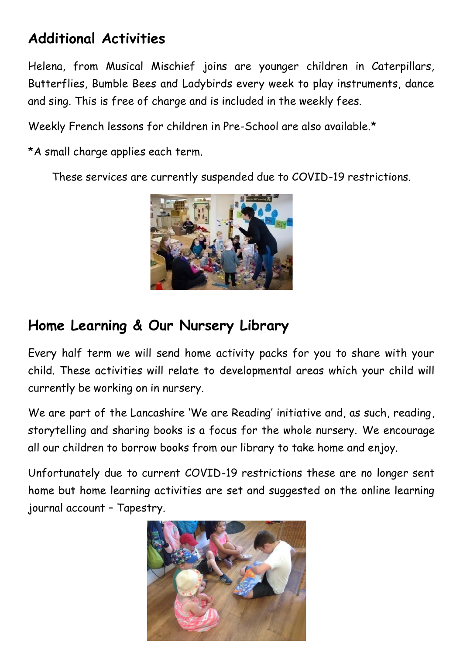## **Additional Activities**

Helena, from Musical Mischief joins are younger children in Caterpillars, Butterflies, Bumble Bees and Ladybirds every week to play instruments, dance and sing. This is free of charge and is included in the weekly fees.

Weekly French lessons for children in Pre-School are also available.\*

\*A small charge applies each term.

These services are currently suspended due to COVID-19 restrictions.



## **Home Learning & Our Nursery Library**

Every half term we will send home activity packs for you to share with your child. These activities will relate to developmental areas which your child will currently be working on in nursery.

We are part of the Lancashire 'We are Reading' initiative and, as such, reading, storytelling and sharing books is a focus for the whole nursery. We encourage all our children to borrow books from our library to take home and enjoy.

Unfortunately due to current COVID-19 restrictions these are no longer sent home but home learning activities are set and suggested on the online learning journal account – Tapestry.

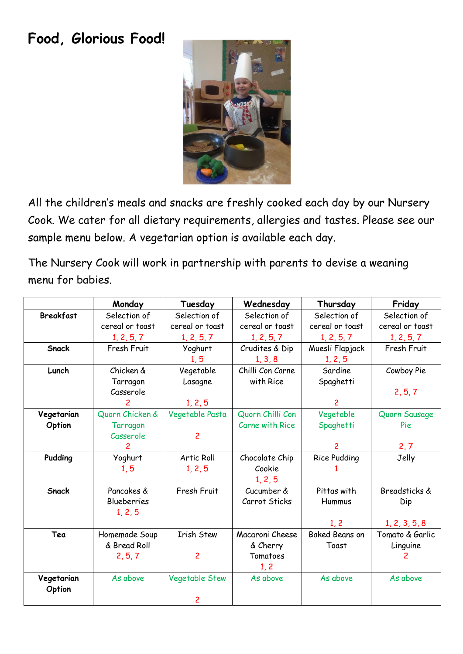## **Food, Glorious Food!**



All the children's meals and snacks are freshly cooked each day by our Nursery Cook. We cater for all dietary requirements, allergies and tastes. Please see our sample menu below. A vegetarian option is available each day.

The Nursery Cook will work in partnership with parents to devise a weaning menu for babies.

|                  | Monday             | Tuesday           | Wednesday              | Thursday              | Friday          |
|------------------|--------------------|-------------------|------------------------|-----------------------|-----------------|
| <b>Breakfast</b> | Selection of       | Selection of      | Selection of           | Selection of          | Selection of    |
|                  | cereal or toast    | cereal or toast   | cereal or toast        | cereal or toast       | cereal or toast |
|                  | 1, 2, 5, 7         | 1, 2, 5, 7        | 1, 2, 5, 7             | 1, 2, 5, 7            | 1, 2, 5, 7      |
| Snack            | Fresh Fruit        | Yoghurt           | Crudites & Dip         | Muesli Flapjack       | Fresh Fruit     |
|                  |                    | 1, 5              | 1, 3, 8                | 1, 2, 5               |                 |
| Lunch            | Chicken &          | Vegetable         | Chilli Con Carne       | Sardine               | Cowboy Pie      |
|                  | Tarragon           | Lasagne           | with Rice              | Spaghetti             |                 |
|                  | Casserole          |                   |                        |                       | 2, 5, 7         |
|                  | $\mathbf{2}$       | 1, 2, 5           |                        | $\mathcal{P}$         |                 |
| Vegetarian       | Quorn Chicken &    | Vegetable Pasta   | Quorn Chilli Con       | Vegetable             | Quorn Sausage   |
| Option           | Tarragon           |                   | <b>Carne with Rice</b> | Spaghetti             | Pie             |
|                  | Casserole          | $\overline{c}$    |                        |                       |                 |
|                  | $\overline{c}$     |                   |                        | $\overline{c}$        | 2, 7            |
| Pudding          | Yoghurt            | Artic Roll        | Chocolate Chip         | <b>Rice Pudding</b>   | Jelly           |
|                  | 1, 5               | 1, 2, 5           | Cookie                 |                       |                 |
|                  |                    |                   | 1, 2, 5                |                       |                 |
| Snack            | Pancakes &         | Fresh Fruit       | Cucumber &             | Pittas with           | Breadsticks &   |
|                  | <b>Blueberries</b> |                   | Carrot Sticks          | Hummus                | Dip             |
|                  | 1, 2, 5            |                   |                        |                       |                 |
|                  |                    |                   |                        | 1, 2                  | 1, 2, 3, 5, 8   |
| Tea              | Homemade Soup      | <b>Irish Stew</b> | Macaroni Cheese        | <b>Baked Beans on</b> | Tomato & Garlic |
|                  | & Bread Roll       |                   | & Cherry               | Toast                 | Linguine        |
|                  | 2, 5, 7            | $\overline{c}$    | Tomatoes               |                       |                 |
|                  |                    |                   | 1, 2                   |                       |                 |
| Vegetarian       | As above           | Vegetable Stew    | As above               | As above              | As above        |
| Option           |                    |                   |                        |                       |                 |
|                  |                    | 2                 |                        |                       |                 |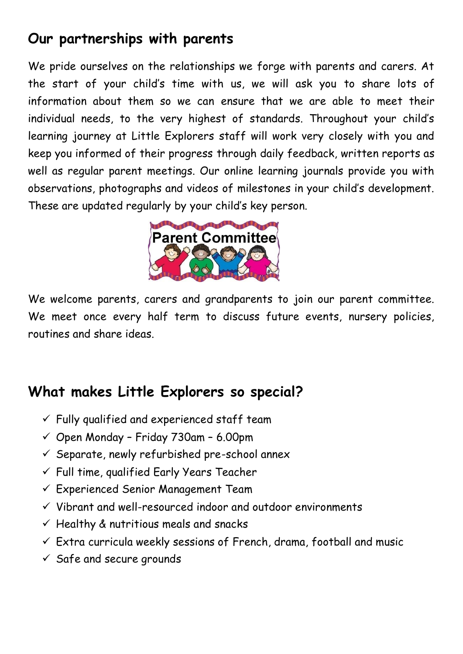## **Our partnerships with parents**

We pride ourselves on the relationships we forge with parents and carers. At the start of your child's time with us, we will ask you to share lots of information about them so we can ensure that we are able to meet their individual needs, to the very highest of standards. Throughout your child's learning journey at Little Explorers staff will work very closely with you and keep you informed of their progress through daily feedback, written reports as well as regular parent meetings. Our online learning journals provide you with observations, photographs and videos of milestones in your child's development. These are updated regularly by your child's key person.



We welcome parents, carers and grandparents to join our parent committee. We meet once every half term to discuss future events, nursery policies, routines and share ideas.

## **What makes Little Explorers so special?**

- $\checkmark$  Fully qualified and experienced staff team
- $\checkmark$  Open Monday Friday 730am 6.00pm
- $\checkmark$  Separate, newly refurbished pre-school annex
- ✓ Full time, qualified Early Years Teacher
- ✓ Experienced Senior Management Team
- ✓ Vibrant and well-resourced indoor and outdoor environments
- $\checkmark$  Healthy & nutritious meals and snacks
- $\checkmark$  Extra curricula weekly sessions of French, drama, football and music
- $\checkmark$  Safe and secure grounds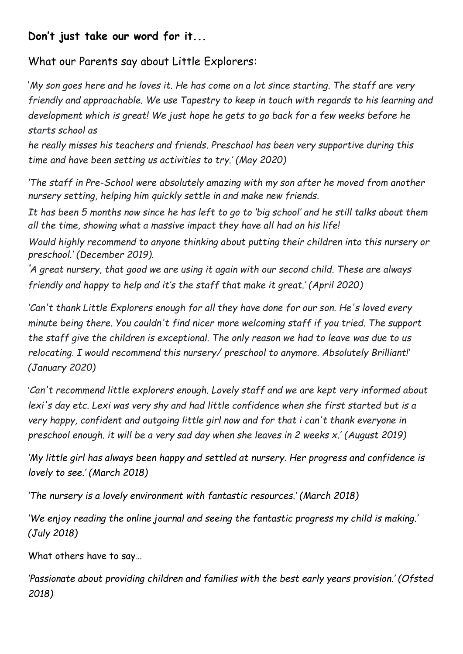#### **Don't just take our word for it...**

What our Parents say about Little Explorers:

'*My son goes here and he loves it. He has come on a lot since starting. The staff are very friendly and approachable. We use Tapestry to keep in touch with regards to his learning and development which is great! We just hope he gets to go back for a few weeks before he starts school as*

*he really misses his teachers and friends. Preschool has been very supportive during this time and have been setting us activities to try.' (May 2020)*

*'The staff in Pre-School were absolutely amazing with my son after he moved from another nursery setting, helping him quickly settle in and make new friends.*

*It has been 5 months now since he has left to go to 'big school' and he still talks about them all the time, showing what a massive impact they have all had on his life!*

*Would highly recommend to anyone thinking about putting their children into this nursery or preschool.' (December 2019).*

*'A great nursery, that good we are using it again with our second child. These are always friendly and happy to help and it's the staff that make it great.' (April 2020)*

*'Can't thank Little Explorers enough for all they have done for our son. He's loved every minute being there. You couldn't find nicer more welcoming staff if you tried. The support the staff give the children is exceptional. The only reason we had to leave was due to us relocating. I would recommend this nursery/ preschool to anymore. Absolutely Brilliant!' (January 2020)*

'*Can't recommend little explorers enough. Lovely staff and we are kept very informed about lexi's day etc. Lexi was very shy and had little confidence when she first started but is a very happy, confident and outgoing little girl now and for that i can't thank everyone in preschool enough. it will be a very sad day when she leaves in 2 weeks x.' (August 2019)*

*'My little girl has always been happy and settled at nursery. Her progress and confidence is lovely to see.' (March 2018)*

*'The nursery is a lovely environment with fantastic resources.' (March 2018)*

*'We enjoy reading the online journal and seeing the fantastic progress my child is making.' (July 2018)*

What others have to say…

*'Passionate about providing children and families with the best early years provision.' (Ofsted 2018)*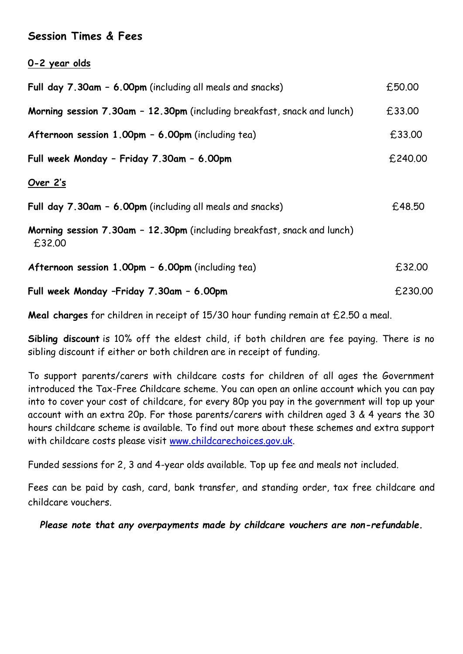#### **Session Times & Fees**

**0-2 year olds**

| Full day 7.30am - 6.00pm (including all meals and snacks)                         | £50.00  |
|-----------------------------------------------------------------------------------|---------|
| Morning session 7.30am - 12.30pm (including breakfast, snack and lunch)           | £33.00  |
| Afternoon session 1.00pm - 6.00pm (including tea)                                 | £33.00  |
| Full week Monday - Friday 7.30am - 6.00pm                                         | £240.00 |
| Over 2's                                                                          |         |
| Full day 7.30am - 6.00pm (including all meals and snacks)                         | £48.50  |
| Morning session 7.30am - 12.30pm (including breakfast, snack and lunch)<br>£32.00 |         |
| Afternoon session 1.00pm - 6.00pm (including tea)                                 | £32.00  |
| Full week Monday -Friday 7.30am - 6.00pm                                          | £230.00 |

**Meal charges** for children in receipt of 15/30 hour funding remain at £2.50 a meal.

**Sibling discount** is 10% off the eldest child, if both children are fee paying. There is no sibling discount if either or both children are in receipt of funding.

To support parents/carers with childcare costs for children of all ages the Government introduced the Tax-Free Childcare scheme. You can open an online account which you can pay into to cover your cost of childcare, for every 80p you pay in the government will top up your account with an extra 20p. For those parents/carers with children aged 3 & 4 years the 30 hours childcare scheme is available. To find out more about these schemes and extra support with childcare costs please visit [www.childcarechoices.gov.uk.](http://www.childcarechoices.gov.uk/)

Funded sessions for 2, 3 and 4-year olds available. Top up fee and meals not included.

Fees can be paid by cash, card, bank transfer, and standing order, tax free childcare and childcare vouchers.

*Please note that any overpayments made by childcare vouchers are non-refundable.*